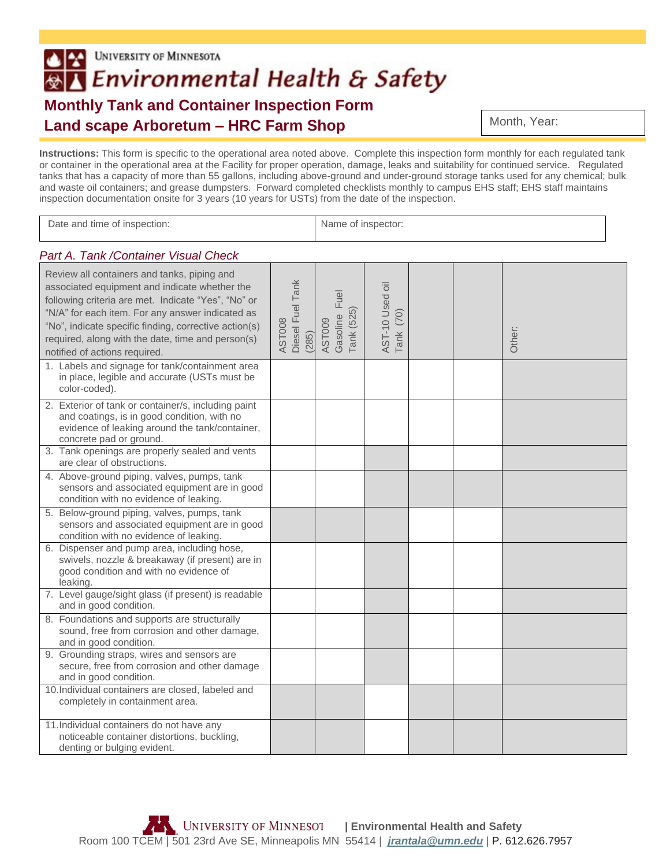## **UNIVERSITY OF MINNESOTA** l\*l **BY** Environmental Health & Safety **Monthly Tank and Container Inspection Form Land scape Arboretum – HRC Farm Shop**

Month, Year:

**Instructions:** This form is specific to the operational area noted above. Complete this inspection form monthly for each regulated tank or container in the operational area at the Facility for proper operation, damage, leaks and suitability for continued service. Regulated tanks that has a capacity of more than 55 gallons, including above-ground and under-ground storage tanks used for any chemical; bulk and waste oil containers; and grease dumpsters. Forward completed checklists monthly to campus EHS staff; EHS staff maintains inspection documentation onsite for 3 years (10 years for USTs) from the date of the inspection.

| Date and time of inspection:                                                                                                                                                                                                                                                                                                                           |                                     | Name of inspector:                       |                                 |  |  |        |  |
|--------------------------------------------------------------------------------------------------------------------------------------------------------------------------------------------------------------------------------------------------------------------------------------------------------------------------------------------------------|-------------------------------------|------------------------------------------|---------------------------------|--|--|--------|--|
| Part A. Tank / Container Visual Check                                                                                                                                                                                                                                                                                                                  |                                     |                                          |                                 |  |  |        |  |
| Review all containers and tanks, piping and<br>associated equipment and indicate whether the<br>following criteria are met. Indicate "Yes", "No" or<br>"N/A" for each item. For any answer indicated as<br>"No", indicate specific finding, corrective action(s)<br>required, along with the date, time and person(s)<br>notified of actions required. | Diesel Fuel Tank<br>AST008<br>(285) | Fuel<br>Tank (525)<br>Gasoline<br>AST009 | AST-10 Used oil<br>(70)<br>Tank |  |  | Other: |  |
| 1. Labels and signage for tank/containment area<br>in place, legible and accurate (USTs must be<br>color-coded).                                                                                                                                                                                                                                       |                                     |                                          |                                 |  |  |        |  |
| 2. Exterior of tank or container/s, including paint<br>and coatings, is in good condition, with no<br>evidence of leaking around the tank/container,<br>concrete pad or ground.                                                                                                                                                                        |                                     |                                          |                                 |  |  |        |  |
| 3. Tank openings are properly sealed and vents<br>are clear of obstructions.                                                                                                                                                                                                                                                                           |                                     |                                          |                                 |  |  |        |  |
| 4. Above-ground piping, valves, pumps, tank<br>sensors and associated equipment are in good<br>condition with no evidence of leaking.                                                                                                                                                                                                                  |                                     |                                          |                                 |  |  |        |  |
| 5. Below-ground piping, valves, pumps, tank<br>sensors and associated equipment are in good<br>condition with no evidence of leaking.                                                                                                                                                                                                                  |                                     |                                          |                                 |  |  |        |  |
| 6. Dispenser and pump area, including hose,<br>swivels, nozzle & breakaway (if present) are in<br>good condition and with no evidence of<br>leaking.                                                                                                                                                                                                   |                                     |                                          |                                 |  |  |        |  |
| 7. Level gauge/sight glass (if present) is readable<br>and in good condition.                                                                                                                                                                                                                                                                          |                                     |                                          |                                 |  |  |        |  |
| 8. Foundations and supports are structurally<br>sound, free from corrosion and other damage,<br>and in good condition.                                                                                                                                                                                                                                 |                                     |                                          |                                 |  |  |        |  |
| 9. Grounding straps, wires and sensors are<br>secure, free from corrosion and other damage<br>and in good condition.                                                                                                                                                                                                                                   |                                     |                                          |                                 |  |  |        |  |
| 10. Individual containers are closed, labeled and<br>completely in containment area.                                                                                                                                                                                                                                                                   |                                     |                                          |                                 |  |  |        |  |
| 11. Individual containers do not have any<br>noticeable container distortions, buckling,<br>denting or bulging evident.                                                                                                                                                                                                                                |                                     |                                          |                                 |  |  |        |  |